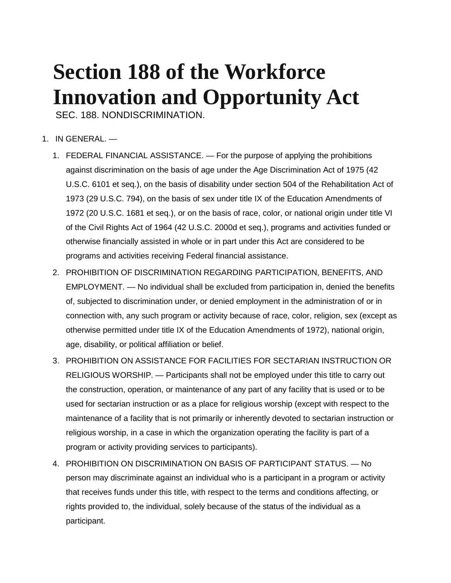## **Section 188 of the Workforce Innovation and Opportunity Act**

SEC. 188. NONDISCRIMINATION.

- 1. IN GENERAL.
	- 1. FEDERAL FINANCIAL ASSISTANCE. For the purpose of applying the prohibitions against discrimination on the basis of age under the Age Discrimination Act of 1975 (42 U.S.C. 6101 et seq.), on the basis of disability under section 504 of the Rehabilitation Act of 1973 (29 U.S.C. 794), on the basis of sex under title IX of the Education Amendments of 1972 (20 U.S.C. 1681 et seq.), or on the basis of race, color, or national origin under title VI of the Civil Rights Act of 1964 (42 U.S.C. 2000d et seq.), programs and activities funded or otherwise financially assisted in whole or in part under this Act are considered to be programs and activities receiving Federal financial assistance.
	- 2. PROHIBITION OF DISCRIMINATION REGARDING PARTICIPATION, BENEFITS, AND EMPLOYMENT. — No individual shall be excluded from participation in, denied the benefits of, subjected to discrimination under, or denied employment in the administration of or in connection with, any such program or activity because of race, color, religion, sex (except as otherwise permitted under title IX of the Education Amendments of 1972), national origin, age, disability, or political affiliation or belief.
	- 3. PROHIBITION ON ASSISTANCE FOR FACILITIES FOR SECTARIAN INSTRUCTION OR RELIGIOUS WORSHIP. — Participants shall not be employed under this title to carry out the construction, operation, or maintenance of any part of any facility that is used or to be used for sectarian instruction or as a place for religious worship (except with respect to the maintenance of a facility that is not primarily or inherently devoted to sectarian instruction or religious worship, in a case in which the organization operating the facility is part of a program or activity providing services to participants).
	- 4. PROHIBITION ON DISCRIMINATION ON BASIS OF PARTICIPANT STATUS. No person may discriminate against an individual who is a participant in a program or activity that receives funds under this title, with respect to the terms and conditions affecting, or rights provided to, the individual, solely because of the status of the individual as a participant.